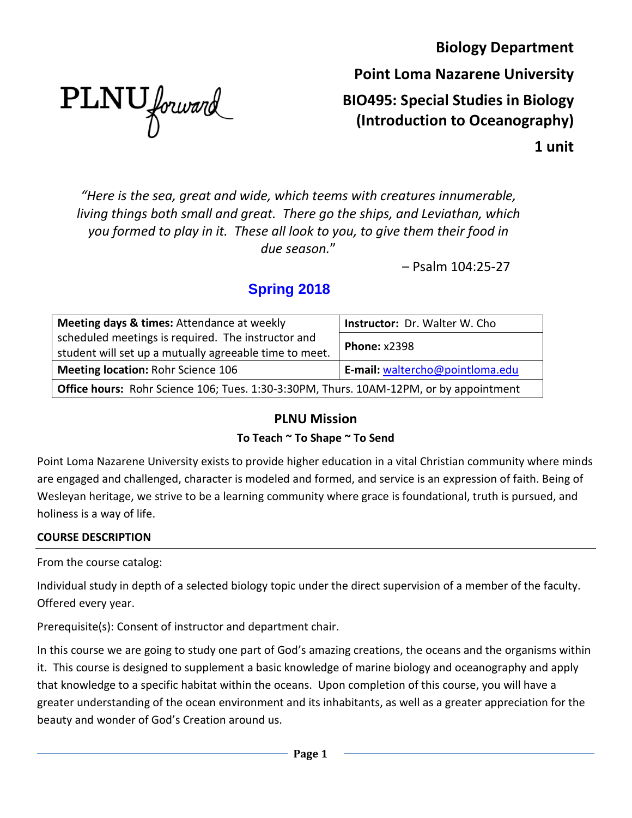**Biology Department**

PLNU forward

**Point Loma Nazarene University BIO495: Special Studies in Biology (Introduction to Oceanography)**

**1 unit**

*"Here is the sea, great and wide, which teems with creatures innumerable, living things both small and great. There go the ships, and Leviathan, which you formed to play in it. These all look to you, to give them their food in due season.*"

– Psalm 104:25-27

# **Spring 2018**

| Meeting days & times: Attendance at weekly                                             | <b>Instructor: Dr. Walter W. Cho</b> |  |
|----------------------------------------------------------------------------------------|--------------------------------------|--|
| scheduled meetings is required. The instructor and                                     |                                      |  |
| student will set up a mutually agreeable time to meet.                                 | <b>Phone: x2398</b>                  |  |
| <b>Meeting location: Rohr Science 106</b>                                              | E-mail: waltercho@pointloma.edu      |  |
| Office hours: Rohr Science 106; Tues. 1:30-3:30PM, Thurs. 10AM-12PM, or by appointment |                                      |  |

# **PLNU Mission**

## **To Teach ~ To Shape ~ To Send**

Point Loma Nazarene University exists to provide higher education in a vital Christian community where minds are engaged and challenged, character is modeled and formed, and service is an expression of faith. Being of Wesleyan heritage, we strive to be a learning community where grace is foundational, truth is pursued, and holiness is a way of life.

## **COURSE DESCRIPTION**

From the course catalog:

Individual study in depth of a selected biology topic under the direct supervision of a member of the faculty. Offered every year.

Prerequisite(s): Consent of instructor and department chair.

In this course we are going to study one part of God's amazing creations, the oceans and the organisms within it. This course is designed to supplement a basic knowledge of marine biology and oceanography and apply that knowledge to a specific habitat within the oceans. Upon completion of this course, you will have a greater understanding of the ocean environment and its inhabitants, as well as a greater appreciation for the beauty and wonder of God's Creation around us.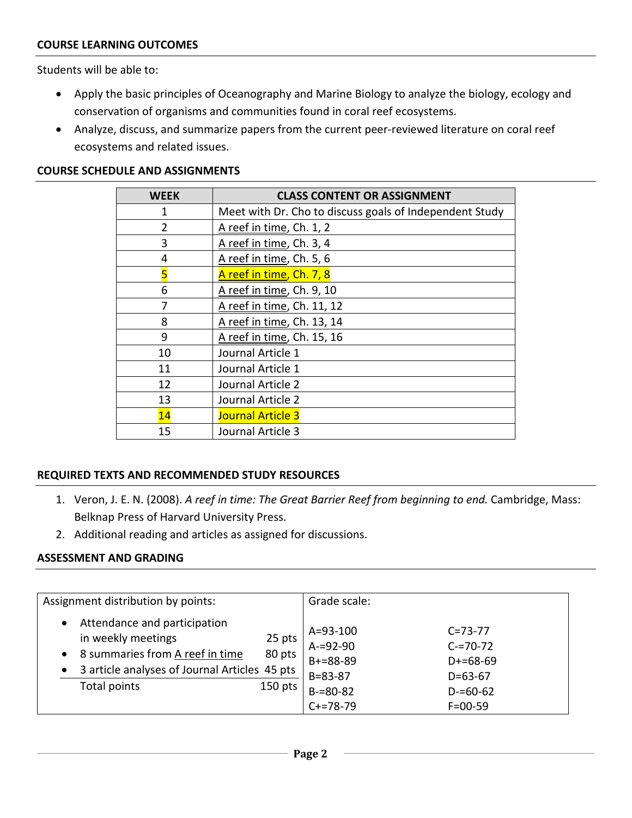#### **COURSE LEARNING OUTCOMES**

Students will be able to:

- Apply the basic principles of Oceanography and Marine Biology to analyze the biology, ecology and conservation of organisms and communities found in coral reef ecosystems.
- Analyze, discuss, and summarize papers from the current peer-reviewed literature on coral reef ecosystems and related issues.

#### **COURSE SCHEDULE AND ASSIGNMENTS**

| <b>WEEK</b>    | <b>CLASS CONTENT OR ASSIGNMENT</b>                      |
|----------------|---------------------------------------------------------|
| 1              | Meet with Dr. Cho to discuss goals of Independent Study |
| $\overline{2}$ | A reef in time, Ch. 1, 2                                |
| 3              | A reef in time, Ch. 3, 4                                |
| 4              | A reef in time, Ch. 5, 6                                |
| 5              | A reef in time, Ch. 7, 8                                |
| 6              | A reef in time, Ch. 9, 10                               |
| 7              | A reef in time, Ch. 11, 12                              |
| 8              | A reef in time, Ch. 13, 14                              |
| 9              | A reef in time, Ch. 15, 16                              |
| 10             | Journal Article 1                                       |
| 11             | Journal Article 1                                       |
| 12             | Journal Article 2                                       |
| 13             | Journal Article 2                                       |
| 14             | <b>Journal Article 3</b>                                |
| 15             | Journal Article 3                                       |
|                |                                                         |

#### **REQUIRED TEXTS AND RECOMMENDED STUDY RESOURCES**

- 1. Veron, J. E. N. (2008). *A reef in time: The Great Barrier Reef from beginning to end.* Cambridge, Mass: Belknap Press of Harvard University Press.
- 2. Additional reading and articles as assigned for discussions.

#### **ASSESSMENT AND GRADING**

| Assignment distribution by points:                                                                                                                                                                                             | Grade scale:                                                                                                                                                                               |
|--------------------------------------------------------------------------------------------------------------------------------------------------------------------------------------------------------------------------------|--------------------------------------------------------------------------------------------------------------------------------------------------------------------------------------------|
| Attendance and participation<br>$\bullet$<br>in weekly meetings<br>25 pts<br>8 summaries from A reef in time<br>80 pts<br>$\bullet$<br>3 article analyses of Journal Articles 45 pts<br>$\bullet$<br>Total points<br>$150$ pts | $A = 93 - 100$<br>$C = 73 - 77$<br>$A = 92 - 90$<br>$C = 70-72$<br>$B+=88-89$<br>$D+=68-69$<br>$B = 83 - 87$<br>$D=63-67$<br>$B = 80 - 82$<br>$D = 60 - 62$<br>$C+=78-79$<br>$F = 00 - 59$ |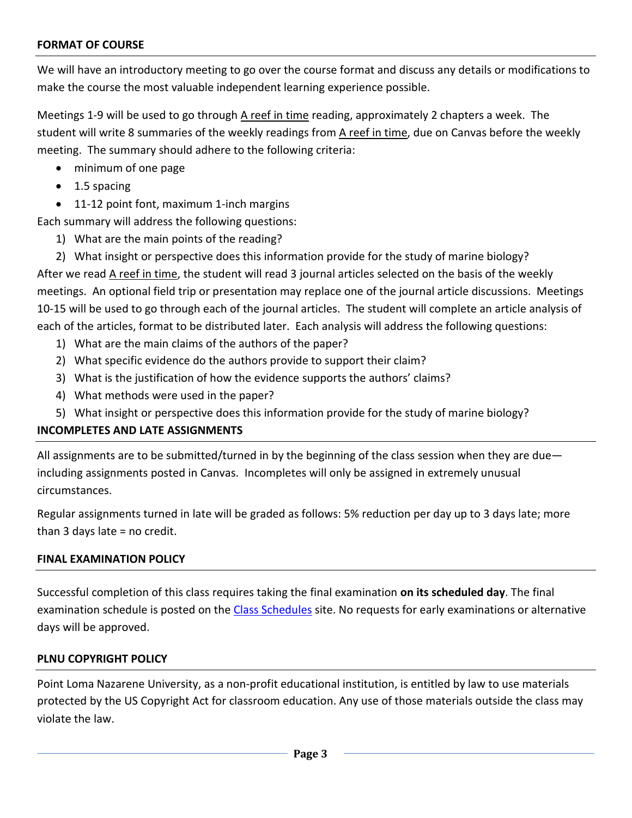#### **FORMAT OF COURSE**

We will have an introductory meeting to go over the course format and discuss any details or modifications to make the course the most valuable independent learning experience possible.

Meetings 1-9 will be used to go through A reef in time reading, approximately 2 chapters a week. The student will write 8 summaries of the weekly readings from A reef in time, due on Canvas before the weekly meeting. The summary should adhere to the following criteria:

- minimum of one page
- 1.5 spacing
- 11-12 point font, maximum 1-inch margins

Each summary will address the following questions:

1) What are the main points of the reading?

2) What insight or perspective does this information provide for the study of marine biology? After we read A reef in time, the student will read 3 journal articles selected on the basis of the weekly meetings. An optional field trip or presentation may replace one of the journal article discussions. Meetings 10-15 will be used to go through each of the journal articles. The student will complete an article analysis of each of the articles, format to be distributed later. Each analysis will address the following questions:

- 1) What are the main claims of the authors of the paper?
- 2) What specific evidence do the authors provide to support their claim?
- 3) What is the justification of how the evidence supports the authors' claims?
- 4) What methods were used in the paper?
- 5) What insight or perspective does this information provide for the study of marine biology?

#### **INCOMPLETES AND LATE ASSIGNMENTS**

All assignments are to be submitted/turned in by the beginning of the class session when they are due including assignments posted in Canvas. Incompletes will only be assigned in extremely unusual circumstances.

Regular assignments turned in late will be graded as follows: 5% reduction per day up to 3 days late; more than 3 days late = no credit.

#### **FINAL EXAMINATION POLICY**

Successful completion of this class requires taking the final examination **on its scheduled day**. The final examination schedule is posted on the [Class Schedules](http://www.pointloma.edu/experience/academics/class-schedules) site. No requests for early examinations or alternative days will be approved.

#### **PLNU COPYRIGHT POLICY**

Point Loma Nazarene University, as a non-profit educational institution, is entitled by law to use materials protected by the US Copyright Act for classroom education. Any use of those materials outside the class may violate the law.